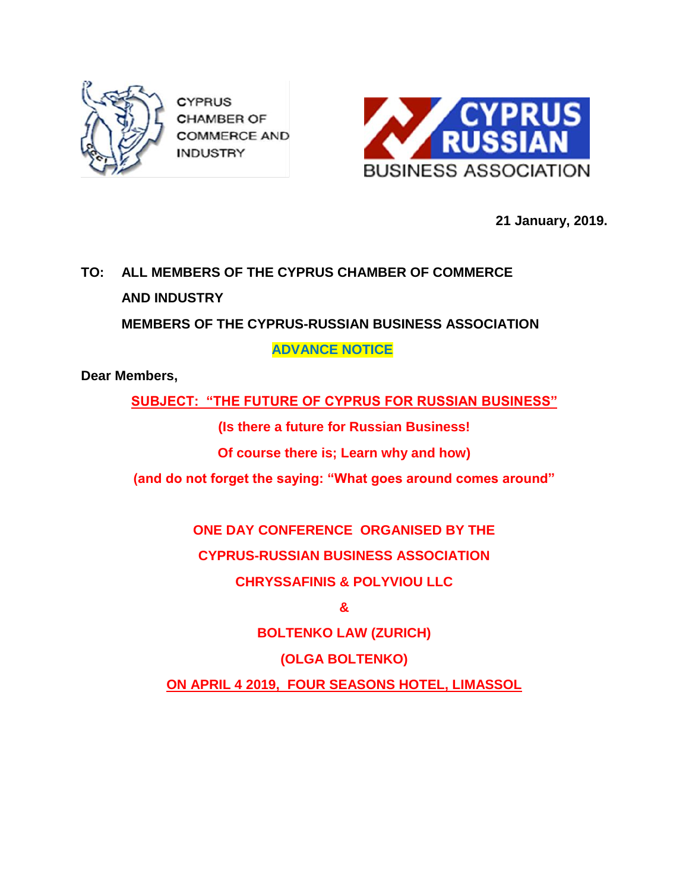

**CYPRUS CHAMBER OF COMMERCE AND INDUSTRY** 



**21 January, 2019.**

## **TO: ALL MEMBERS OF THE CYPRUS CHAMBER OF COMMERCE AND INDUSTRY MEMBERS OF THE CYPRUS-RUSSIAN BUSINESS ASSOCIATION**

 **ADVANCE NOTICE**

**Dear Members,**

**SUBJECT: "THE FUTURE OF CYPRUS FOR RUSSIAN BUSINESS"**

**(Is there a future for Russian Business!**

**Of course there is; Learn why and how)**

**(and do not forget the saying: "What goes around comes around"**

**ONE DAY CONFERENCE ORGANISED BY THE CYPRUS-RUSSIAN BUSINESS ASSOCIATION**

**CHRYSSAFINIS & POLYVIOU LLC**

**&**

**BOLTENKO LAW (ZURICH)**

**(OLGA BOLTENKO)**

**ON APRIL 4 2019, FOUR SEASONS HOTEL, LIMASSOL**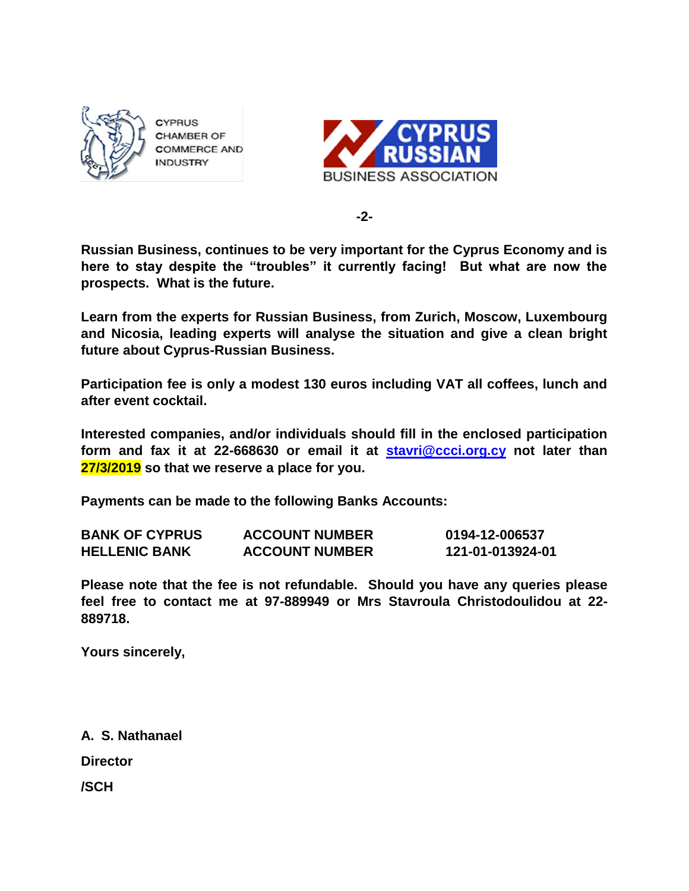

CYPRUS **CHAMBER OF COMMERCE AND INDUSTRY** 



**-2-**

**Russian Business, continues to be very important for the Cyprus Economy and is here to stay despite the "troubles" it currently facing! But what are now the prospects. What is the future.**

**Learn from the experts for Russian Business, from Zurich, Moscow, Luxembourg and Nicosia, leading experts will analyse the situation and give a clean bright future about Cyprus-Russian Business.**

**Participation fee is only a modest 130 euros including VAT all coffees, lunch and after event cocktail.**

**Interested companies, and/or individuals should fill in the enclosed participation form and fax it at 22-668630 or email it at [stavri@ccci.org.cy](mailto:stavri@ccci.org.cy) not later than 27/3/2019 so that we reserve a place for you.**

**Payments can be made to the following Banks Accounts:**

| <b>BANK OF CYPRUS</b> | <b>ACCOUNT NUMBER</b> | 0194-12-006537   |
|-----------------------|-----------------------|------------------|
| <b>HELLENIC BANK</b>  | <b>ACCOUNT NUMBER</b> | 121-01-013924-01 |

**Please note that the fee is not refundable. Should you have any queries please feel free to contact me at 97-889949 or Mrs Stavroula Christodoulidou at 22- 889718.**

**Yours sincerely,**

**A. S. Nathanael Director**

**/SCH**